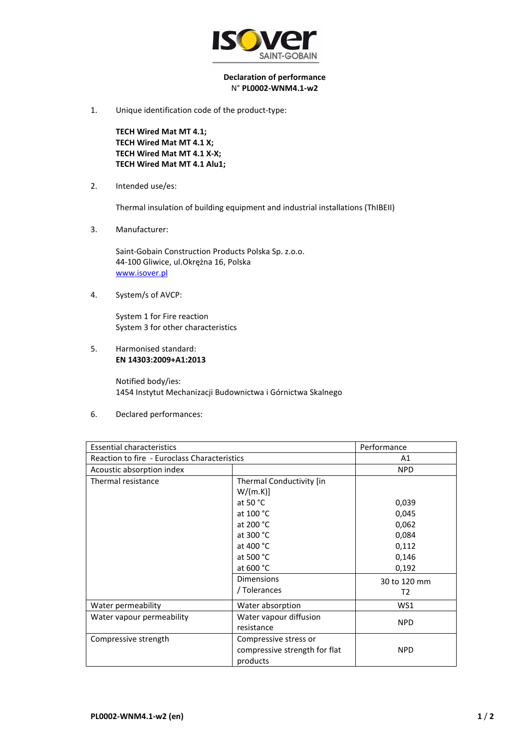

## **Declaration of performance**  N° **PL0002-WNM4.1-w2**

1. Unique identification code of the product-type:

**TECH Wired Mat MT 4.1; TECH Wired Mat MT 4.1 X; TECH Wired Mat MT 4.1 X-X; TECH Wired Mat MT 4.1 Alu1;** 

2. Intended use/es:

Thermal insulation of building equipment and industrial installations (ThIBEII)

3. Manufacturer:

Saint-Gobain Construction Products Polska Sp. z.o.o. 44-100 Gliwice, ul.Okrężna 16, Polska www.isover.pl

4. System/s of AVCP:

System 1 for Fire reaction System 3 for other characteristics

5. Harmonised standard: **EN 14303:2009+A1:2013**

> Notified body/ies: 1454 Instytut Mechanizacji Budownictwa i Górnictwa Skalnego

6. Declared performances:

| <b>Essential characteristics</b>             |                               | Performance  |
|----------------------------------------------|-------------------------------|--------------|
| Reaction to fire - Euroclass Characteristics |                               | A1           |
| Acoustic absorption index                    |                               | <b>NPD</b>   |
| Thermal resistance                           | Thermal Conductivity [in      |              |
|                                              | W/(m.K)]                      |              |
|                                              | at 50 $^{\circ}$ C            | 0,039        |
|                                              | at 100 °C                     | 0,045        |
|                                              | at 200 °C                     | 0,062        |
|                                              | at 300 °C                     | 0,084        |
|                                              | at 400 °C                     | 0,112        |
|                                              | at 500 °C                     | 0,146        |
|                                              | at 600 °C                     | 0,192        |
|                                              | <b>Dimensions</b>             | 30 to 120 mm |
|                                              | / Tolerances                  | T2           |
| Water permeability                           | Water absorption              | WS1          |
| Water vapour permeability                    | Water vapour diffusion        | <b>NPD</b>   |
|                                              | resistance                    |              |
| Compressive strength                         | Compressive stress or         |              |
|                                              | compressive strength for flat | <b>NPD</b>   |
|                                              | products                      |              |